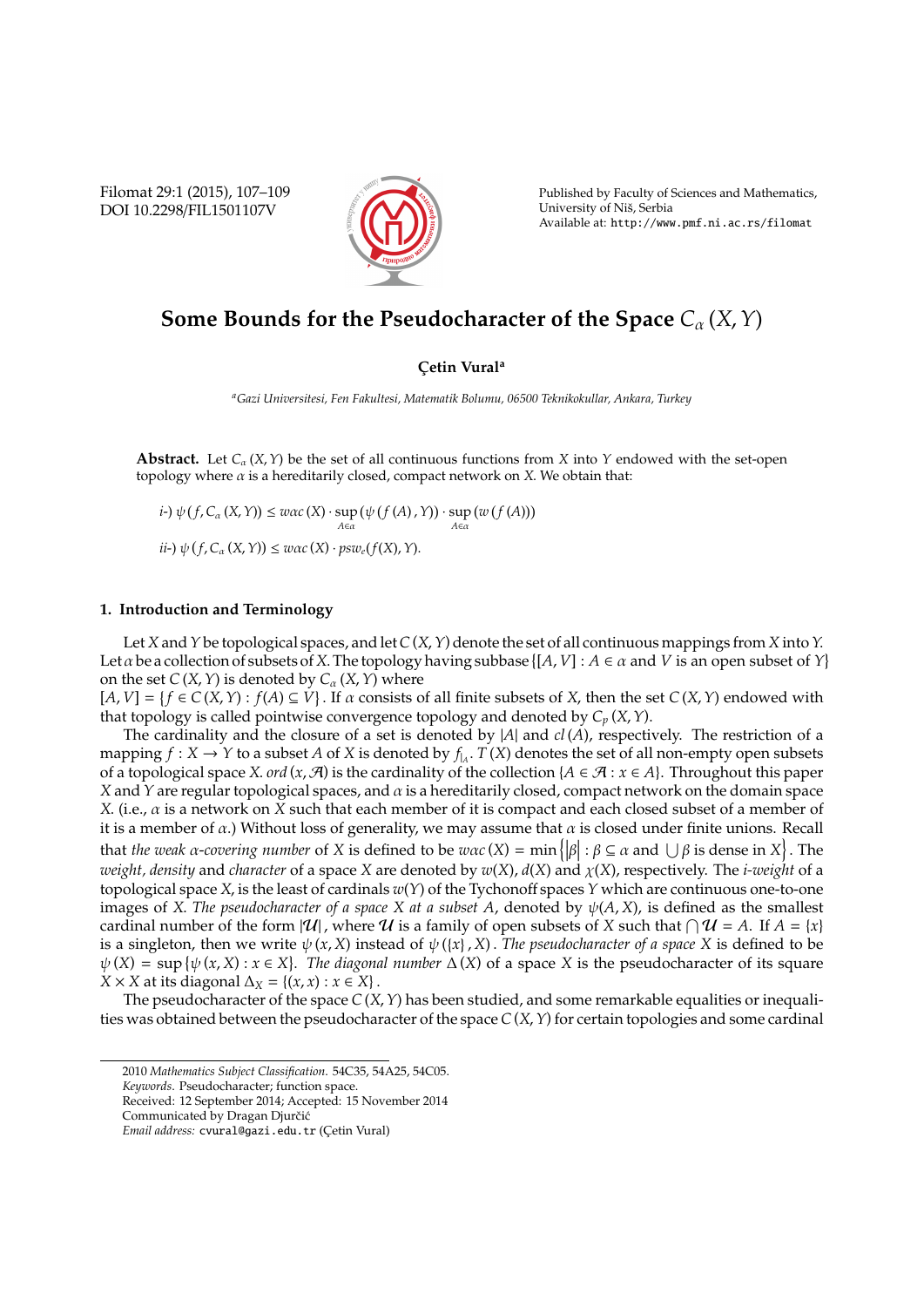Filomat 29:1 (2015), 107–109 DOI 10.2298/FIL1501107V



Published by Faculty of Sciences and Mathematics, University of Niš, Serbia Available at: http://www.pmf.ni.ac.rs/filomat

## **Some Bounds for the Pseudocharacter of the Space**  $C_{\alpha}(X, Y)$

## **C¸ etin Vural<sup>a</sup>**

*<sup>a</sup>Gazi Universitesi, Fen Fakultesi, Matematik Bolumu, 06500 Teknikokullar, Ankara, Turkey*

**Abstract.** Let  $C_\alpha$  (*X*, *Y*) be the set of all continuous functions from *X* into *Y* endowed with the set-open topology where  $\alpha$  is a hereditarily closed, compact network on *X*. We obtain that:

 $i$ <sup>2</sup>)  $\psi(f, C_\alpha(X, Y)) \leq w\alpha c(X) \cdot \sup_{A \in \alpha}$  ψ *f* (*A*) ,*Y* · sup *A*∈α  $(w(f(A)))$  $i\iota$ <sup>2</sup>)  $\psi(f, C_\alpha(X, Y)) \leq w\alpha c(X) \cdot psw_e(f(X), Y).$ 

## **1. Introduction and Terminology**

Let *X* and*Y* be topological spaces, and let*C*(*X*,*Y*) denote the set of all continuous mappings from *X* into*Y*. Let  $\alpha$  be a collection of subsets of X. The topology having subbase  $\{[A, V] : A \in \alpha \text{ and } V \text{ is an open subset of } Y\}$ on the set  $C(X, Y)$  is denoted by  $C_{\alpha}(X, Y)$  where

 $[A, V] = \{f \in C(X, Y) : f(A) \subseteq V\}$ . If  $\alpha$  consists of all finite subsets of *X*, then the set  $C(X, Y)$  endowed with that topology is called pointwise convergence topology and denoted by *C<sup>p</sup>* (*X*,*Y*).

The cardinality and the closure of a set is denoted by |*A*| and *cl* (*A*), respectively. The restriction of a mapping  $f: X \to Y$  to a subset A of X is denoted by  $f_A$ .  $T(X)$  denotes the set of all non-empty open subsets of a topological space *X*. *ord* (*x*,  $\mathcal{A}$ ) is the cardinality of the collection { $A \in \mathcal{A}$  :  $x \in A$ }. Throughout this paper *X* and *Y* are regular topological spaces, and α is a hereditarily closed, compact network on the domain space *X*. (i.e., α is a network on *X* such that each member of it is compact and each closed subset of a member of it is a member of  $\alpha$ .) Without loss of generality, we may assume that  $\alpha$  is closed under finite unions. Recall that *the weak*  $\alpha$ *-covering number* of *X* is defined to be  $w\alpha c(X) = \min\left\{ |\beta| : \beta \subseteq \alpha \text{ and } \bigcup \beta \text{ is dense in } X \right\}$ . The *weight, density* and *character* of a space *X* are denoted by *w*(*X*), *d*(*X*) and χ(*X*), respectively. The *i-weight* of a topological space *X*, is the least of cardinals *w*(*Y*) of the Tychonoff spaces *Y* which are continuous one-to-one images of *X*. *The pseudocharacter of a space X at a subset A*, denoted by  $\psi(A, X)$ , is defined as the smallest cardinal number of the form  $|\mathcal{U}|$ , where  $\mathcal U$  is a family of open subsets of *X* such that  $\bigcap \mathcal U = A$ . If  $A = \{x\}$ is a singleton, then we write  $\psi(x, X)$  instead of  $\psi(\{x\}, X)$ . The pseudocharacter of a space X is defined to be  $\psi(X) = \sup \{\psi(x, X) : x \in X\}$ . The diagonal number  $\Delta(X)$  of a space *X* is the pseudocharacter of its square  $X \times X$  at its diagonal  $\Delta_X = \{(x, x) : x \in X\}$ .

The pseudocharacter of the space  $C(X, Y)$  has been studied, and some remarkable equalities or inequalities was obtained between the pseudocharacter of the space *C*(*X*, *Y*) for certain topologies and some cardinal

<sup>2010</sup> *Mathematics Subject Classification*. 54C35, 54A25, 54C05.

*Keywords*. Pseudocharacter; function space.

Received: 12 September 2014; Accepted: 15 November 2014

Communicated by Dragan Djurčić

*Email address:* cvural@gazi.edu.tr (Çetin Vural)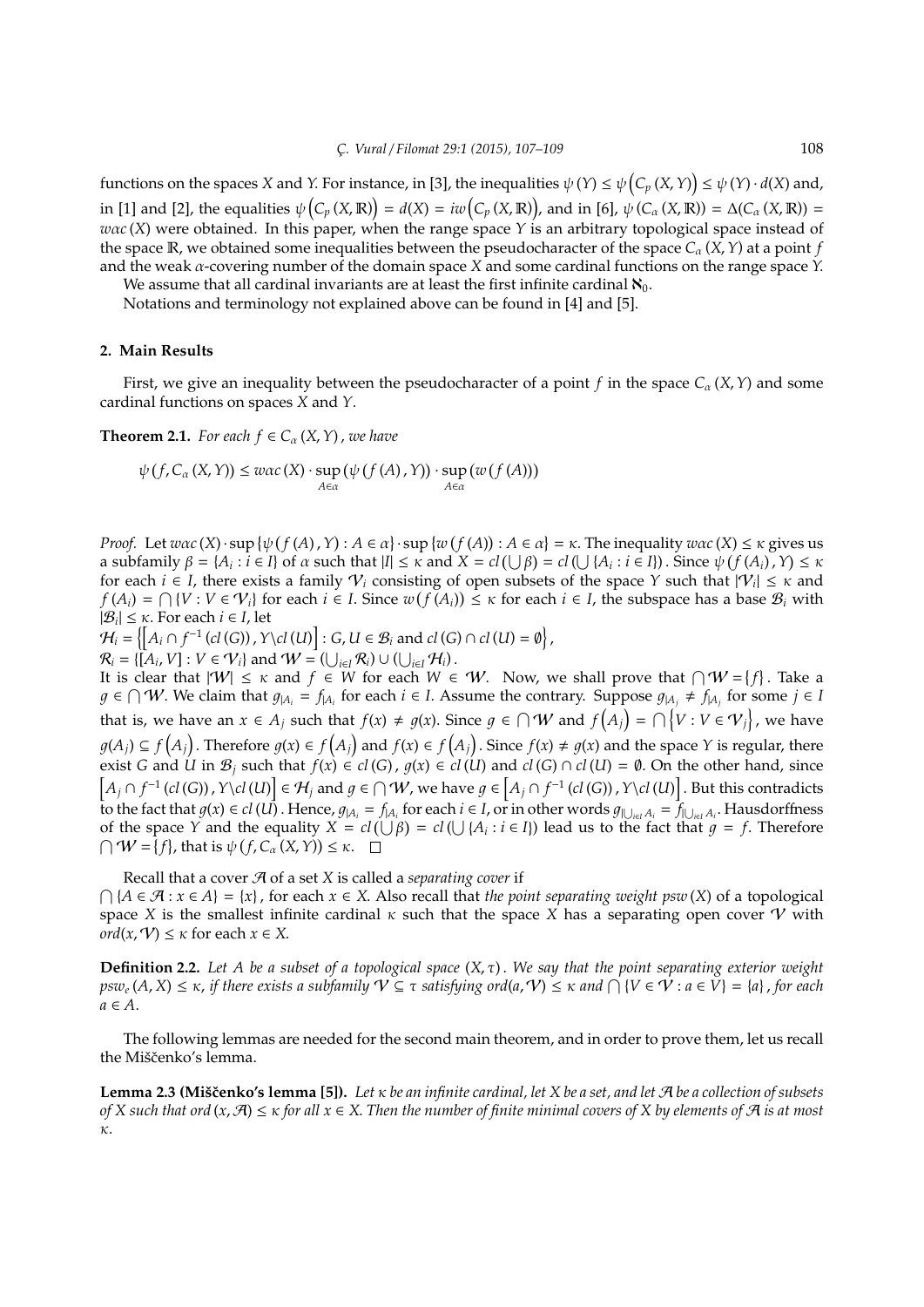functions on the spaces *X* and *Y*. For instance, in [3], the inequalities  $\psi(Y) \leq \psi(C_p(X,Y)) \leq \psi(Y) \cdot d(X)$  and, in [1] and [2], the equalities  $\psi(C_p(X, \mathbb{R})) = d(X) = iw(C_p(X, \mathbb{R}))$ , and in [6],  $\psi(C_\alpha(X, \mathbb{R})) = \Delta(C_\alpha(X, \mathbb{R})) =$ *w*α*c* (*X*) were obtained. In this paper, when the range space *Y* is an arbitrary topological space instead of the space  $\mathbb{R}$ , we obtained some inequalities between the pseudocharacter of the space  $C_{\alpha}(X, Y)$  at a point *f* and the weak α-covering number of the domain space *X* and some cardinal functions on the range space *Y*.

We assume that all cardinal invariants are at least the first infinite cardinal  $\aleph_0$ . Notations and terminology not explained above can be found in [4] and [5].

**2. Main Results**

First, we give an inequality between the pseudocharacter of a point *f* in the space  $C_\alpha$  (*X*, *Y*) and some cardinal functions on spaces *X* and *Y*.

**Theorem 2.1.** *For each*  $f \in C_\alpha(X, Y)$ , *we have* 

$$
\psi(f, C_{\alpha}(X, Y)) \leq w\alpha c(X) \cdot \sup_{A \in \alpha} (\psi(f(A), Y)) \cdot \sup_{A \in \alpha} (w(f(A)))
$$

*Proof.* Let  $wac(X) \cdot \sup \{\psi(f(A), Y) : A \in \alpha\} \cdot \sup \{w(f(A)) : A \in \alpha\} = \kappa$ . The inequality  $wac(X) \leq \kappa$  gives us a subfamily  $\beta = \{A_i : i \in I\}$  of  $\alpha$  such that  $|I| \leq \kappa$  and  $X = cl(\bigcup \beta) = cl(\bigcup \{A_i : i \in I\})$ . Since  $\psi(f(A_i), Y) \leq \kappa$ for each  $i \in I$ , there exists a family  $V_i$  consisting of open subsets of the space *Y* such that  $|V_i| \leq \kappa$  and  $f(A_i) = \bigcap \{V : V \in V_i\}$  for each  $i \in I$ . Since  $w(f(A_i)) \leq \kappa$  for each  $i \in I$ , the subspace has a base  $\mathcal{B}_i$  with  $|\mathcal{B}_i| \leq \kappa$ . For each  $i \in I$ , let

 $\mathcal{H}_i = \left\{ \left[ A_i \cap f^{-1}\left( \mathit{cl}\left( G \right) \right), Y\backslash \mathit{cl}\left( U \right) \right] : G, U \in \mathcal{B}_i \text{ and } \mathit{cl}\left( G \right) \cap \mathit{cl}\left( U \right) = \emptyset \right\},$  $\mathcal{R}_i = \{ [A_i, V] : V \in \mathcal{V}_i \}$  and  $\mathcal{W} = (\bigcup_{i \in I} \mathcal{R}_i) \cup (\bigcup_{i \in I} \mathcal{H}_i)$ .

It is clear that  $|W| \leq \kappa$  and  $f \in W$  for each  $W \in W$ . Now, we shall prove that  $\bigcap W = \{f\}$ . Take a  $g$  ∈  $\cap$  *W*. We claim that  $g_{|A_i} = f_{|A_i}$  for each  $i \in I$ . Assume the contrary. Suppose  $g_{|A_i} \neq f_{|A_i}$  for some  $j \in I$ that is, we have an  $x \in A_j$  such that  $f(x) \neq g(x)$ . Since  $g \in \bigcap \mathcal{W}$  and  $f(A_j) = \bigcap \{V : V \in \mathcal{V}_j\}$ , we have  $g(A_j) \subseteq f(A_j)$ . Therefore  $g(x) \in f(A_j)$  and  $f(x) \in f(A_j)$ . Since  $f(x) \neq g(x)$  and the space Y is regular, there exist *G* and *U* in  $\mathcal{B}_j$  such that  $f(x) \in cl(G)$ ,  $g(x) \in cl(U)$  and  $cl(G) \cap cl(U) = \emptyset$ . On the other hand, since  $\left[A_j\cap f^{-1}(cl(G))$  ,  $Y\setminus cl(U)\right]\in\mathcal{H}_j$  and  $g\in\bigcap\mathcal{W}$ , we have  $g\in\left[A_j\cap f^{-1}(cl(G))$  ,  $Y\setminus cl(U)\right]$ . But this contradicts to the fact that  $g(x) \in cl(U)$ . Hence,  $g_{|A_i} = f_{|A_i}$  for each  $i \in I$ , or in other words  $g_{|U_{i\in I}A_i} = f_{|U_{i\in I}A_i}$ . Hausdorffness of the space *Y* and the equality  $X = cl(\bigcup \beta) = cl(\bigcup \{A_i : i \in I\})$  lead us to the fact that  $g = f$ . Therefore  $\bigcap W = \{f\}$ , that is  $\psi(f, C_\alpha(X, Y)) \leq \kappa$ .

Recall that a cover A of a set *X* is called a *separating cover* if  $\bigcap \{A \in \mathcal{A} : x \in A\} = \{x\}$ , for each  $x \in X$ . Also recall that *the point separating weight psw* (*X*) of a topological space *X* is the smallest infinite cardinal  $\kappa$  such that the space *X* has a separating open cover *V* with *ord*( $x, \mathcal{V}$ )  $\leq \kappa$  for each  $x \in X$ .

**Definition 2.2.** *Let A be a subset of a topological space* (*X*, τ) . *We say that the point separating exterior weight*  $psw_e(A, X) ≤ κ$ , *if there exists a subfamily*  $V ⊆ τ$  *satisfying ord(a,*  $V) ≤ κ$  *and*  $∩$  { $V ∈ V : a ∈ V$ } = {a} , for each *a* ∈ *A*.

The following lemmas are needed for the second main theorem, and in order to prove them, let us recall the Miščenko's lemma.

**Lemma 2.3 (Miščenko's lemma [5]).** *Let* κ *be an infinite cardinal, let X be a set, and let A be a collection of subsets of X such that ord* (*x*, A) ≤ κ *for all x* ∈ *X*. *Then the number of finite minimal covers of X by elements of* A *is at most* κ.